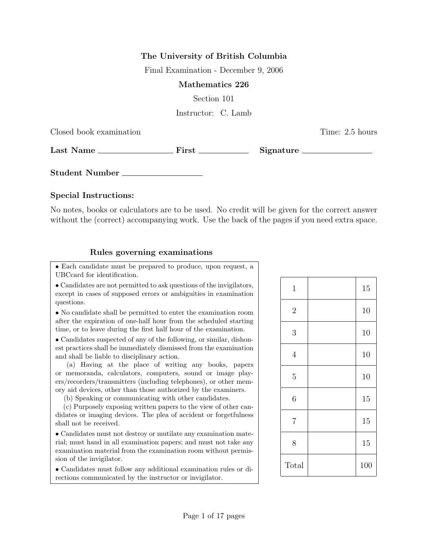## The University of British Columbia

Final Examination - December 9, 2006

## Mathematics 226

Section 101

Instructor: C. Lamb

Closed book examination Time: 2.5 hours

Last Name First Signature

Student Number

## Special Instructions:

No notes, books or calculators are to be used. No credit will be given for the correct answer without the (correct) accompanying work. Use the back of the pages if you need extra space.

## Rules governing examinations

• Each candidate must be prepared to produce, upon request, a UBCcard for identification.

• Candidates are not permitted to ask questions of the invigilators, except in cases of supposed errors or ambiguities in examination questions.

• No candidate shall be permitted to enter the examination room after the expiration of one-half hour from the scheduled starting time, or to leave during the first half hour of the examination.

• Candidates suspected of any of the following, or similar, dishonest practices shall be immediately dismissed from the examination and shall be liable to disciplinary action.

(a) Having at the place of writing any books, papers or memoranda, calculators, computers, sound or image players/recorders/transmitters (including telephones), or other memory aid devices, other than those authorized by the examiners.

(b) Speaking or communicating with other candidates.

(c) Purposely exposing written papers to the view of other candidates or imaging devices. The plea of accident or forgetfulness shall not be received.

• Candidates must not destroy or mutilate any examination material; must hand in all examination papers; and must not take any examination material from the examination room without permission of the invigilator.

• Candidates must follow any additional examination rules or directions communicated by the instructor or invigilator.

| $\,1$          | 15  |
|----------------|-----|
| $\overline{2}$ | 10  |
| 3              | 10  |
| $\sqrt{4}$     | 10  |
| $\overline{5}$ | 10  |
| $\sqrt{6}$     | 15  |
| $\sqrt{ }$     | 15  |
| 8              | 15  |
| Total          | 100 |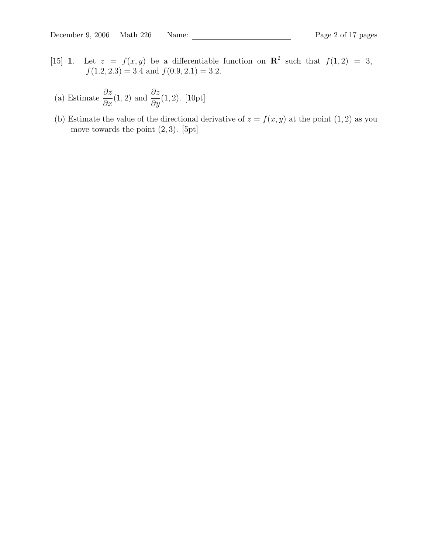- [15] 1. Let  $z = f(x, y)$  be a differentiable function on  $\mathbb{R}^2$  such that  $f(1, 2) = 3$ ,  $f(1.2, 2.3) = 3.4$  and  $f(0.9, 2.1) = 3.2$ .
- (a) Estimate  $\frac{\partial z}{\partial x}(1,2)$  and  $\frac{\partial z}{\partial y}(1,2)$ . [10pt]
- (b) Estimate the value of the directional derivative of  $z = f(x, y)$  at the point  $(1, 2)$  as you move towards the point  $(2, 3)$ . [5pt]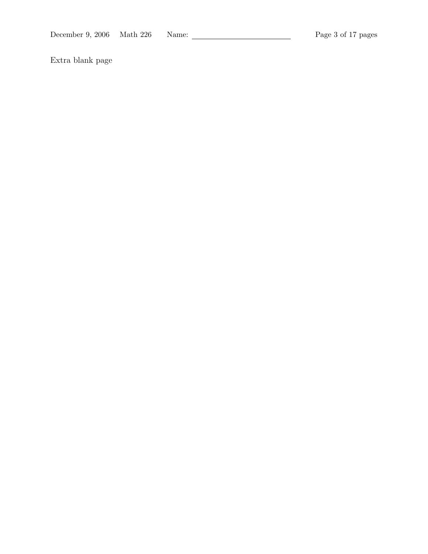December 9, 2006 Math 226 Name: Page 3 of 17 pages

Extra blank page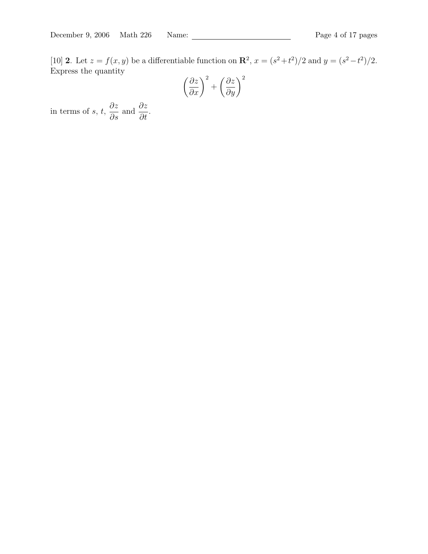[10] **2**. Let  $z = f(x, y)$  be a differentiable function on  $\mathbb{R}^2$ ,  $x = (s^2 + t^2)/2$  and  $y = (s^2 - t^2)/2$ . Express the quantity

$$
\left(\frac{\partial z}{\partial x}\right)^2 + \left(\frac{\partial z}{\partial y}\right)^2
$$

in terms of  $s, t$ ,  $\frac{\partial z}{\partial s}$  and  $\frac{\partial z}{\partial t}$ .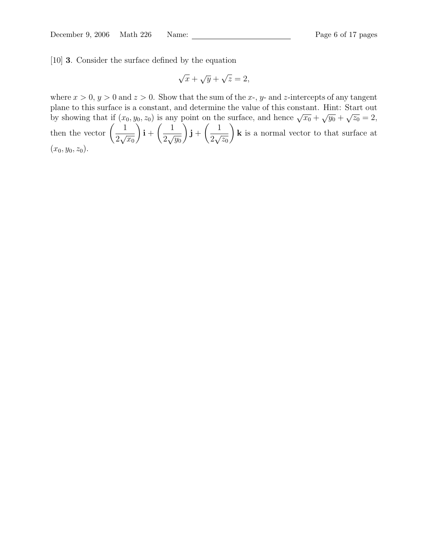[10] 3. Consider the surface defined by the equation

$$
\sqrt{x} + \sqrt{y} + \sqrt{z} = 2,
$$

where  $x > 0$ ,  $y > 0$  and  $z > 0$ . Show that the sum of the x-, y- and z-intercepts of any tangent plane to this surface is a constant, and determine the value of this constant. Hint: Start out by showing that if  $(x_0, y_0, z_0)$  is any point on the surface, and hence  $\sqrt{x_0} + \sqrt{y_0} + \sqrt{z_0} = 2$ , then the vector  $\left(\frac{1}{2\pi}\right)$  $\frac{1}{2\sqrt{x_0}}$  $\setminus$  $\mathrm{i}$  +  $\begin{pmatrix} 1 \end{pmatrix}$  $\frac{1}{2\sqrt{y_0}}$  $\setminus$  ${\rm j}$  +  $\begin{pmatrix} 1 \end{pmatrix}$  $\frac{1}{2\sqrt{z_0}}$  $\setminus$ k is a normal vector to that surface at  $(x_0, y_0, z_0).$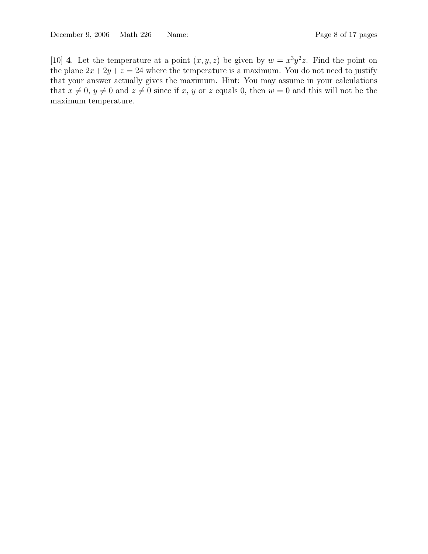[10] 4. Let the temperature at a point  $(x, y, z)$  be given by  $w = x^3y^2z$ . Find the point on the plane  $2x + 2y + z = 24$  where the temperature is a maximum. You do not need to justify that your answer actually gives the maximum. Hint: You may assume in your calculations that  $x \neq 0$ ,  $y \neq 0$  and  $z \neq 0$  since if x, y or z equals 0, then  $w = 0$  and this will not be the maximum temperature.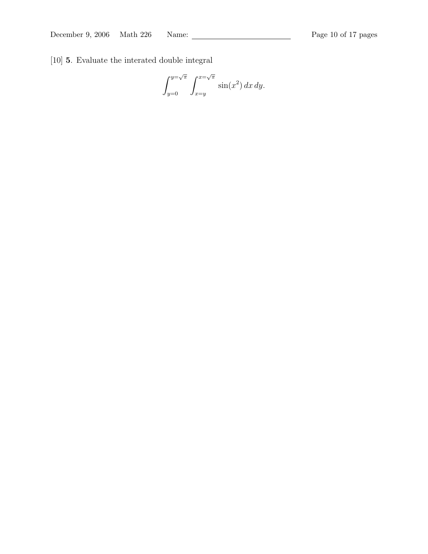[10] 5. Evaluate the interated double integral

$$
\int_{y=0}^{y=\sqrt{\pi}} \int_{x=y}^{x=\sqrt{\pi}} \sin(x^2) dx dy.
$$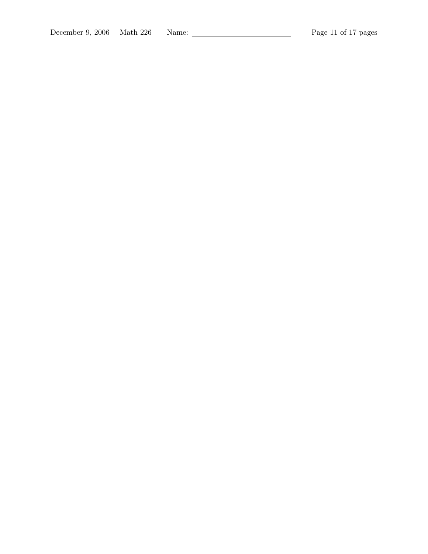December 9, 2006 Math 226 Name: Page 11 of 17 pages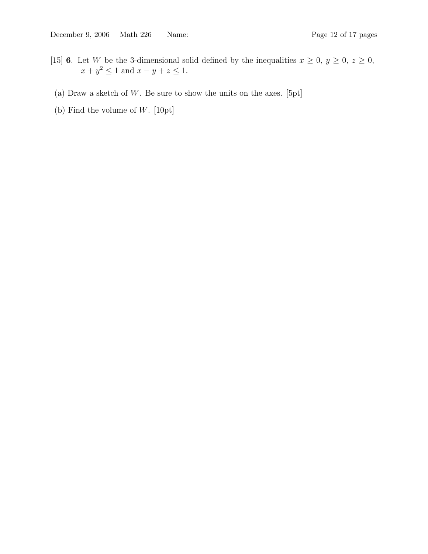- [15] 6. Let W be the 3-dimensional solid defined by the inequalities  $x \geq 0, y \geq 0, z \geq 0$ ,  $x+y^2 \leq 1$  and  $x-y+z \leq 1$ .
- (a) Draw a sketch of  $W$ . Be sure to show the units on the axes. [5pt]
- (b) Find the volume of  $W$ . [10pt]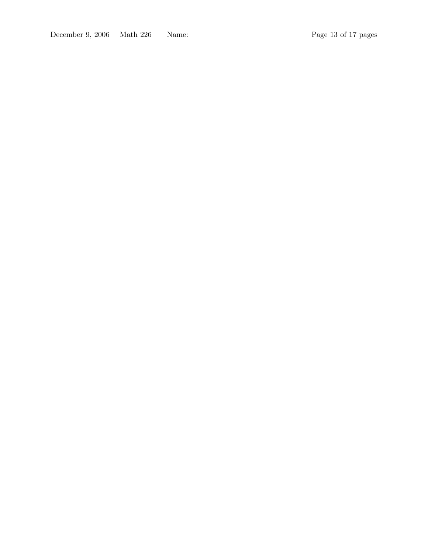December 9, 2006 Math 226 Name: Page 13 of 17 pages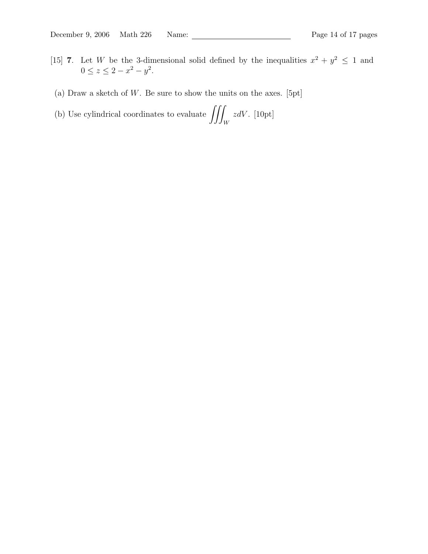- [15] 7. Let W be the 3-dimensional solid defined by the inequalities  $x^2 + y^2 \le 1$  and  $0 \le z \le 2 - x^2 - y^2$ .
- (a) Draw a sketch of  $W$ . Be sure to show the units on the axes. [5pt]
- (b) Use cylindrical coordinates to evaluate  $\iiint$ W  $zdV$ . [10pt]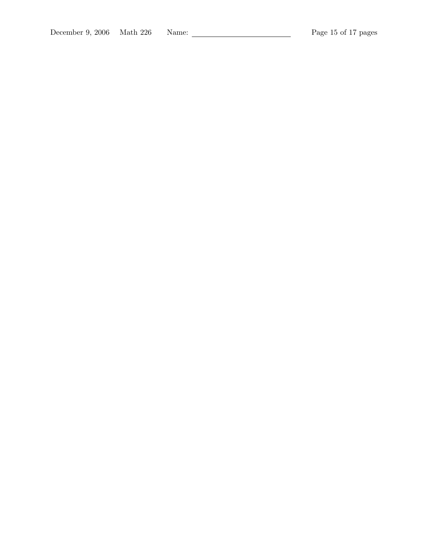December 9, 2006 Math 226 Name: Page 15 of 17 pages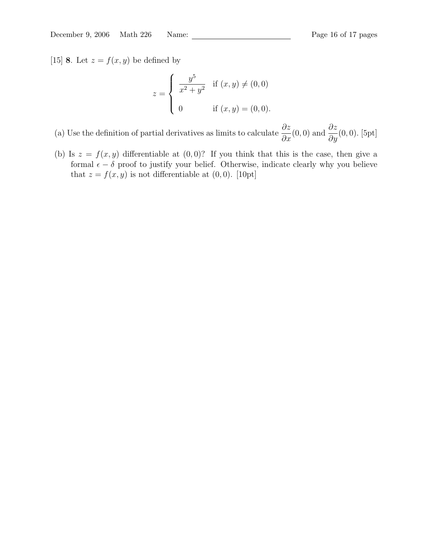[15] **8**. Let  $z = f(x, y)$  be defined by

$$
z = \begin{cases} \frac{y^5}{x^2 + y^2} & \text{if } (x, y) \neq (0, 0) \\ 0 & \text{if } (x, y) = (0, 0). \end{cases}
$$

- (a) Use the definition of partial derivatives as limits to calculate  $\frac{\partial z}{\partial x}(0,0)$  and  $\frac{\partial z}{\partial y}(0,0)$ . [5pt]
- (b) Is  $z = f(x, y)$  differentiable at  $(0, 0)$ ? If you think that this is the case, then give a formal  $\epsilon - \delta$  proof to justify your belief. Otherwise, indicate clearly why you believe that  $z = f(x, y)$  is not differentiable at  $(0, 0)$ . [10pt]